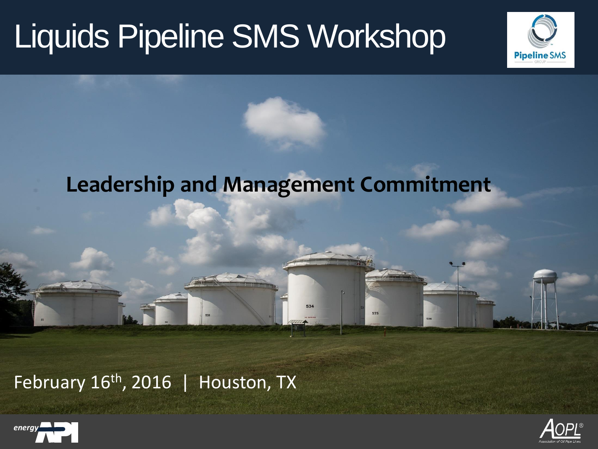

#### **Leadership and Management Commitment**

535

#### February  $16<sup>th</sup>$ , 2016 | Houston, TX



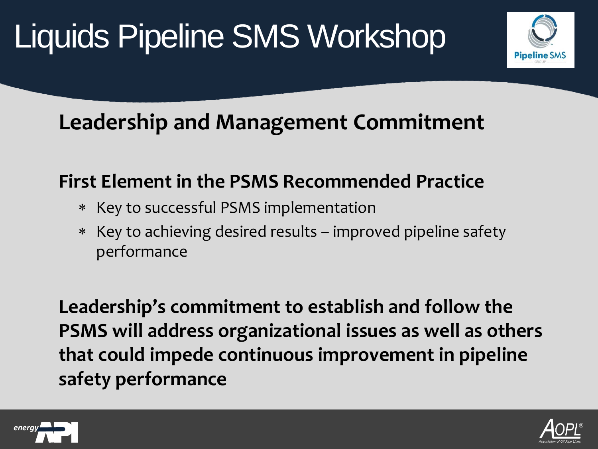### **Leadership and Management Commitment**

#### **First Element in the PSMS Recommended Practice**

- Key to successful PSMS implementation
- Key to achieving desired results improved pipeline safety performance

**Leadership's commitment to establish and follow the PSMS will address organizational issues as well as others that could impede continuous improvement in pipeline safety performance** 



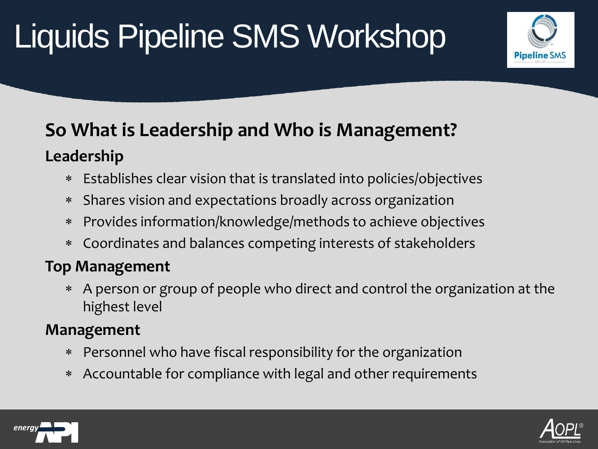

#### **So What is Leadership and Who is Management? Leadership**

- Establishes clear vision that is translated into policies/objectives
- Shares vision and expectations broadly across organization
- Provides information/knowledge/methods to achieve objectives
- Coordinates and balances competing interests of stakeholders

#### **Top Management**

 A person or group of people who direct and control the organization at the highest level

#### **Management**

- Personnel who have fiscal responsibility for the organization
- Accountable for compliance with legal and other requirements



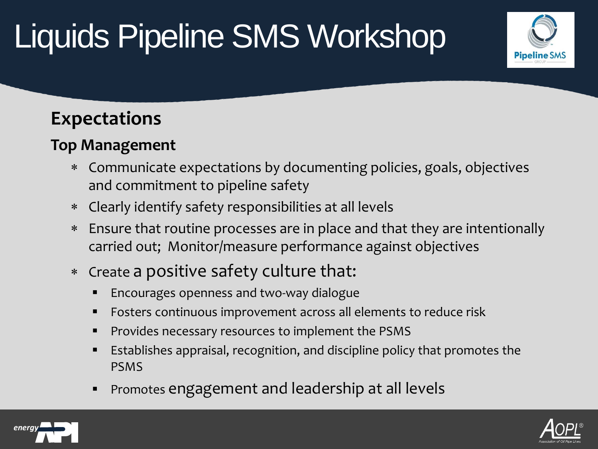# **Pipeline SMS**

#### **Expectations**

#### **Top Management**

- Communicate expectations by documenting policies, goals, objectives and commitment to pipeline safety
- Clearly identify safety responsibilities at all levels
- Ensure that routine processes are in place and that they are intentionally carried out; Monitor/measure performance against objectives
- Create a positive safety culture that:
	- Encourages openness and two-way dialogue
	- **FIC FOSTERS** CONTINUOUS IMPROVEMENT ACROSS all elements to reduce risk
	- Provides necessary resources to implement the PSMS
	- Establishes appraisal, recognition, and discipline policy that promotes the PSMS
	- Promotes engagement and leadership at all levels



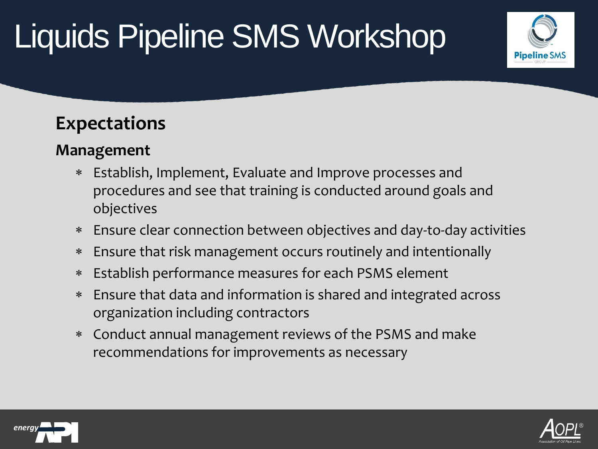# **Pipeline SMS**

#### **Expectations**

#### **Management**

- Establish, Implement, Evaluate and Improve processes and procedures and see that training is conducted around goals and objectives
- Ensure clear connection between objectives and day-to-day activities
- Ensure that risk management occurs routinely and intentionally
- Establish performance measures for each PSMS element
- Ensure that data and information is shared and integrated across organization including contractors
- Conduct annual management reviews of the PSMS and make recommendations for improvements as necessary



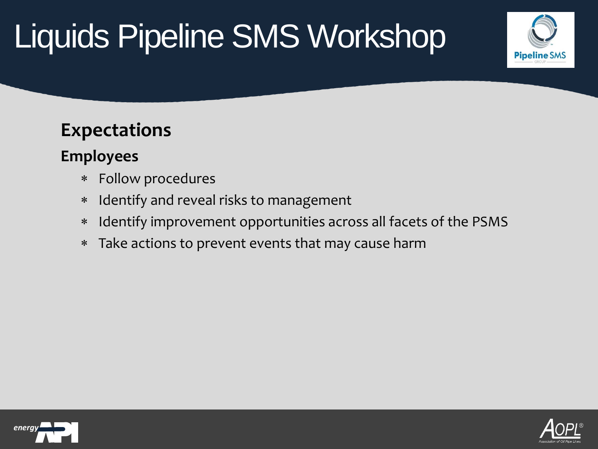# **Pipeline SMS**

#### **Expectations**

#### **Employees**

- Follow procedures
- Identify and reveal risks to management
- Identify improvement opportunities across all facets of the PSMS
- Take actions to prevent events that may cause harm